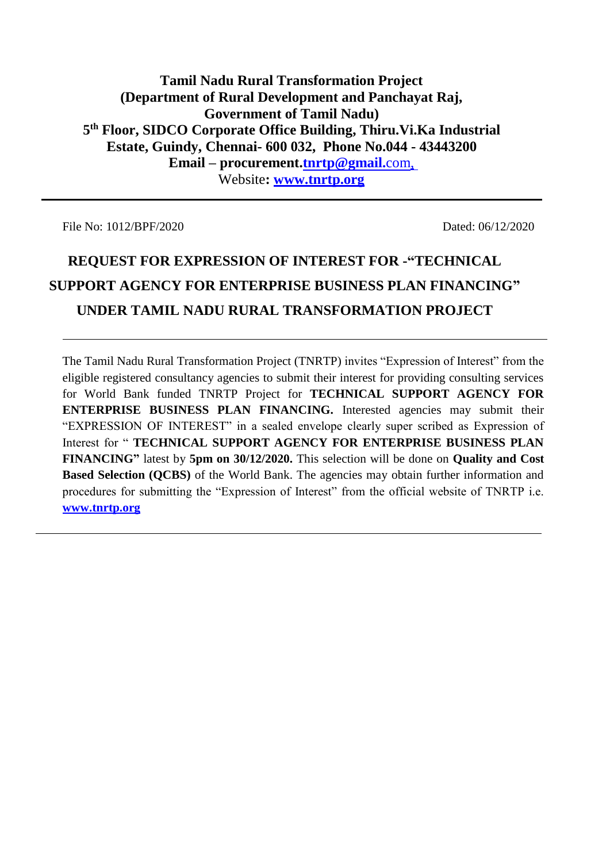# **Tamil Nadu Rural Transformation Project (Department of Rural Development and Panchayat Raj, Government of Tamil Nadu) 5 th Floor, SIDCO Corporate Office Building, Thiru.Vi.Ka Industrial Estate, Guindy, Chennai- 600 032, Phone No.044 - 43443200 Email – procurement[.tnrtp@gmail.](mailto:tnrtp@gmail.com)**com, Website**: [www.tnrtp.org](http://www.tnrtp.org/)**

File No: 1012/BPF/2020 Dated: 06/12/2020

# **REQUEST FOR EXPRESSION OF INTEREST FOR -"TECHNICAL SUPPORT AGENCY FOR ENTERPRISE BUSINESS PLAN FINANCING" UNDER TAMIL NADU RURAL TRANSFORMATION PROJECT**

The Tamil Nadu Rural Transformation Project (TNRTP) invites "Expression of Interest" from the eligible registered consultancy agencies to submit their interest for providing consulting services for World Bank funded TNRTP Project for **TECHNICAL SUPPORT AGENCY FOR ENTERPRISE BUSINESS PLAN FINANCING.** Interested agencies may submit their "EXPRESSION OF INTEREST" in a sealed envelope clearly super scribed as Expression of Interest for " **TECHNICAL SUPPORT AGENCY FOR ENTERPRISE BUSINESS PLAN FINANCING"** latest by **5pm on 30/12/2020.** This selection will be done on **Quality and Cost Based Selection (QCBS)** of the World Bank. The agencies may obtain further information and procedures for submitting the "Expression of Interest" from the official website of TNRTP i.e. **[www.tnrtp.org](http://www.tnrtp.org/)**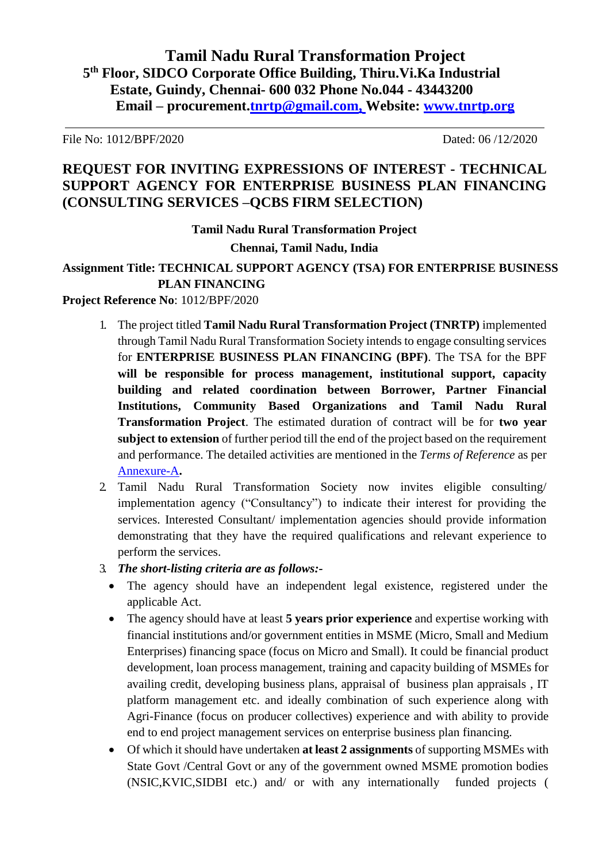File No: 1012/BPF/2020 Dated: 06 /12/2020

# **REQUEST FOR INVITING EXPRESSIONS OF INTEREST - TECHNICAL SUPPORT AGENCY FOR ENTERPRISE BUSINESS PLAN FINANCING (CONSULTING SERVICES –QCBS FIRM SELECTION)**

**Tamil Nadu Rural Transformation Project Chennai, Tamil Nadu, India**

**Assignment Title: TECHNICAL SUPPORT AGENCY (TSA) FOR ENTERPRISE BUSINESS PLAN FINANCING**

#### **Project Reference No**: 1012/BPF/2020

- 1. The project titled **Tamil Nadu Rural Transformation Project (TNRTP)** implemented through Tamil Nadu Rural Transformation Society intends to engage consulting services for **ENTERPRISE BUSINESS PLAN FINANCING (BPF)**. The TSA for the BPF **will be responsible for process management, institutional support, capacity building and related coordination between Borrower, Partner Financial Institutions, Community Based Organizations and Tamil Nadu Rural Transformation Project**. The estimated duration of contract will be for **two year subject to extension** of further period till the end of the project based on the requirement and performance. The detailed activities are mentioned in the *Terms of Reference* as per [Annexure-A](#page-3-0)**.**
- 2. Tamil Nadu Rural Transformation Society now invites eligible consulting/ implementation agency ("Consultancy") to indicate their interest for providing the services. Interested Consultant/ implementation agencies should provide information demonstrating that they have the required qualifications and relevant experience to perform the services.
- 3. *The short-listing criteria are as follows:-*
	- The agency should have an independent legal existence, registered under the applicable Act.
	- The agency should have at least **5 years prior experience** and expertise working with financial institutions and/or government entities in MSME (Micro, Small and Medium Enterprises) financing space (focus on Micro and Small). It could be financial product development, loan process management, training and capacity building of MSMEs for availing credit, developing business plans, appraisal of business plan appraisals , IT platform management etc. and ideally combination of such experience along with Agri-Finance (focus on producer collectives) experience and with ability to provide end to end project management services on enterprise business plan financing.
	- Of which it should have undertaken **at least 2 assignments** of supporting MSMEs with State Govt /Central Govt or any of the government owned MSME promotion bodies (NSIC,KVIC,SIDBI etc.) and/ or with any internationally funded projects (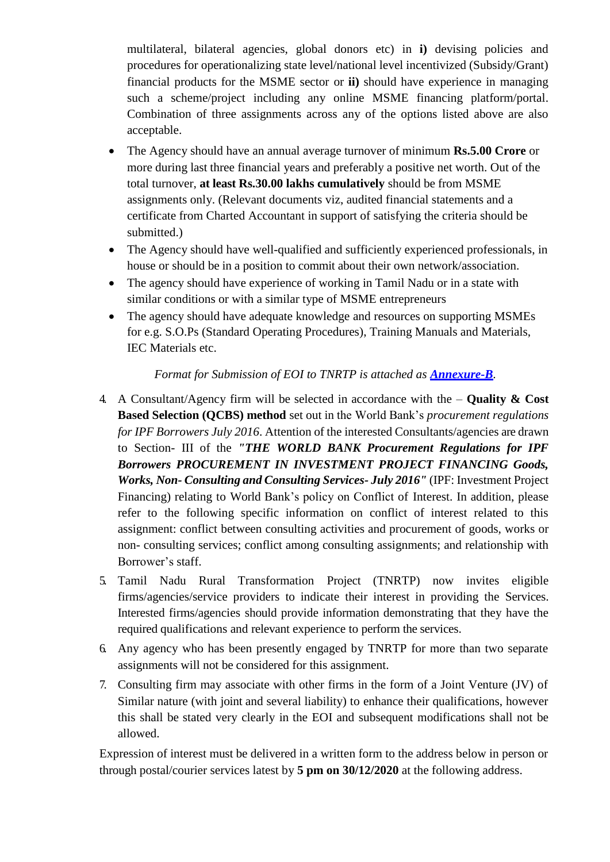multilateral, bilateral agencies, global donors etc) in **i)** devising policies and procedures for operationalizing state level/national level incentivized (Subsidy/Grant) financial products for the MSME sector or **ii)** should have experience in managing such a scheme/project including any online MSME financing platform/portal. Combination of three assignments across any of the options listed above are also acceptable.

- The Agency should have an annual average turnover of minimum **Rs.5.00 Crore** or more during last three financial years and preferably a positive net worth. Out of the total turnover, **at least Rs.30.00 lakhs cumulatively** should be from MSME assignments only. (Relevant documents viz, audited financial statements and a certificate from Charted Accountant in support of satisfying the criteria should be submitted.)
- The Agency should have well-qualified and sufficiently experienced professionals, in house or should be in a position to commit about their own network/association.
- The agency should have experience of working in Tamil Nadu or in a state with similar conditions or with a similar type of MSME entrepreneurs
- The agency should have adequate knowledge and resources on supporting MSMEs for e.g. S.O.Ps (Standard Operating Procedures), Training Manuals and Materials, IEC Materials etc.

### *Format for Submission of EOI to TNRTP is attached as <i>Annexure-B*.

- 4. A Consultant/Agency firm will be selected in accordance with the **Quality & Cost Based Selection (QCBS) method** set out in the World Bank's *procurement regulations for IPF Borrowers July 2016*. Attention of the interested Consultants/agencies are drawn to Section- III of the *"THE WORLD BANK Procurement Regulations for IPF Borrowers PROCUREMENT IN INVESTMENT PROJECT FINANCING Goods, Works, Non- Consulting and Consulting Services- July 2016"* (IPF: Investment Project Financing) relating to World Bank's policy on Conflict of Interest. In addition, please refer to the following specific information on conflict of interest related to this assignment: conflict between consulting activities and procurement of goods, works or non- consulting services; conflict among consulting assignments; and relationship with Borrower's staff.
- 5. Tamil Nadu Rural Transformation Project (TNRTP) now invites eligible firms/agencies/service providers to indicate their interest in providing the Services. Interested firms/agencies should provide information demonstrating that they have the required qualifications and relevant experience to perform the services.
- 6. Any agency who has been presently engaged by TNRTP for more than two separate assignments will not be considered for this assignment.
- 7. Consulting firm may associate with other firms in the form of a Joint Venture (JV) of Similar nature (with joint and several liability) to enhance their qualifications, however this shall be stated very clearly in the EOI and subsequent modifications shall not be allowed.

Expression of interest must be delivered in a written form to the address below in person or through postal/courier services latest by **5 pm on 30/12/2020** at the following address.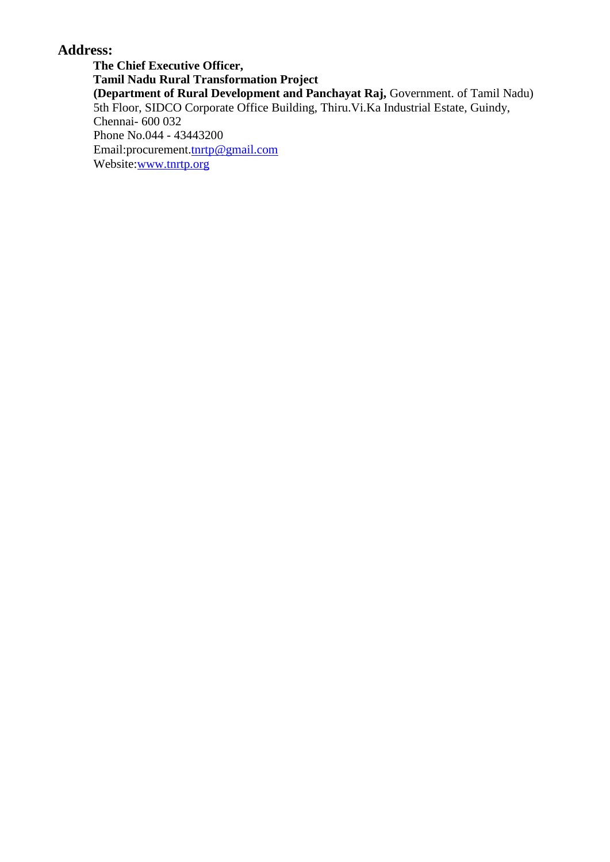# <span id="page-3-0"></span>**Address:**

**The Chief Executive Officer, Tamil Nadu Rural Transformation Project (Department of Rural Development and Panchayat Raj,** Government. of Tamil Nadu) 5th Floor, SIDCO Corporate Office Building, Thiru.Vi.Ka Industrial Estate, Guindy, Chennai- 600 032 Phone No.044 - 43443200 Email:procurement[.tnrtp@gmail.com](mailto:tnrtp@gmail.com) Website[:www.tnrtp.org](http://www.tnrtp.org/)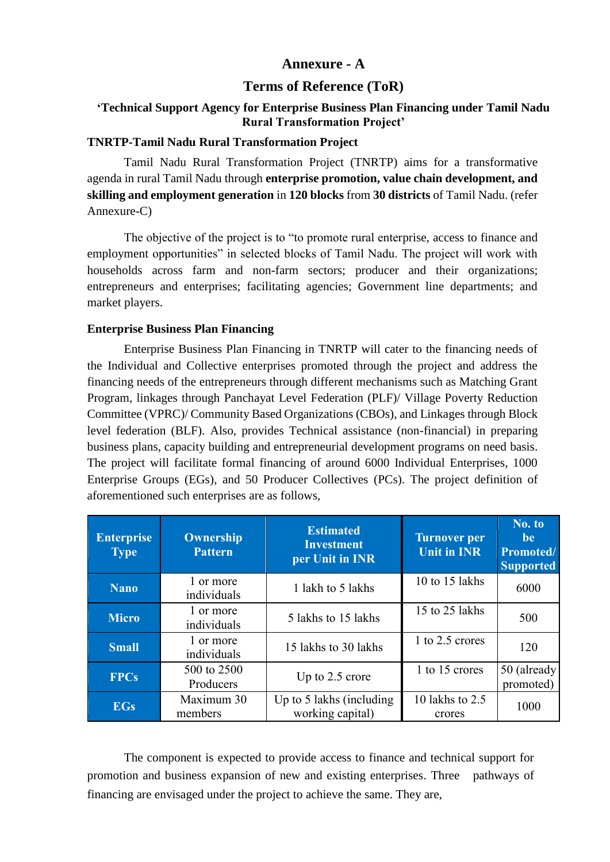### **Annexure - A**

### **Terms of Reference (ToR)**

#### **'Technical Support Agency for Enterprise Business Plan Financing under Tamil Nadu Rural Transformation Project'**

#### **TNRTP-Tamil Nadu Rural Transformation Project**

Tamil Nadu Rural Transformation Project (TNRTP) aims for a transformative agenda in rural Tamil Nadu through **enterprise promotion, value chain development, and skilling and employment generation** in **120 blocks** from **30 districts** of Tamil Nadu. (refer Annexure-C)

The objective of the project is to "to promote rural enterprise, access to finance and employment opportunities" in selected blocks of Tamil Nadu. The project will work with households across farm and non-farm sectors; producer and their organizations; entrepreneurs and enterprises; facilitating agencies; Government line departments; and market players.

#### **Enterprise Business Plan Financing**

Enterprise Business Plan Financing in TNRTP will cater to the financing needs of the Individual and Collective enterprises promoted through the project and address the financing needs of the entrepreneurs through different mechanisms such as Matching Grant Program, linkages through Panchayat Level Federation (PLF)/ Village Poverty Reduction Committee (VPRC)/ Community Based Organizations (CBOs), and Linkages through Block level federation (BLF). Also, provides Technical assistance (non-financial) in preparing business plans, capacity building and entrepreneurial development programs on need basis. The project will facilitate formal financing of around 6000 Individual Enterprises, 1000 Enterprise Groups (EGs), and 50 Producer Collectives (PCs). The project definition of aforementioned such enterprises are as follows,

| <b>Enterprise</b><br><b>Type</b> | <b>Ownership</b><br><b>Pattern</b> | <b>Estimated</b><br><b>Investment</b><br>per Unit in INR | <b>Turnover per</b><br><b>Unit in INR</b> | No. to<br><b>be</b><br>Promoted/<br><b>Supported</b> |
|----------------------------------|------------------------------------|----------------------------------------------------------|-------------------------------------------|------------------------------------------------------|
| <b>Nano</b>                      | 1 or more<br>individuals           | 1 lakh to 5 lakhs                                        | 10 to 15 lakhs                            | 6000                                                 |
| <b>Micro</b>                     | 1 or more<br>individuals           | 5 lakhs to 15 lakhs                                      | 15 to 25 lakhs                            | 500                                                  |
| <b>Small</b>                     | 1 or more<br>individuals           | 15 lakhs to 30 lakhs                                     | 1 to 2.5 crores                           | 120                                                  |
| <b>FPCs</b>                      | 500 to 2500<br>Producers           | Up to 2.5 crore                                          | 1 to 15 crores                            | 50 (already<br>promoted)                             |
| <b>EGs</b>                       | Maximum 30<br>members              | Up to 5 lakhs (including<br>working capital)             | 10 lakhs to 2.5<br>crores                 | 1000                                                 |

The component is expected to provide access to finance and technical support for promotion and business expansion of new and existing enterprises. Three pathways of financing are envisaged under the project to achieve the same. They are,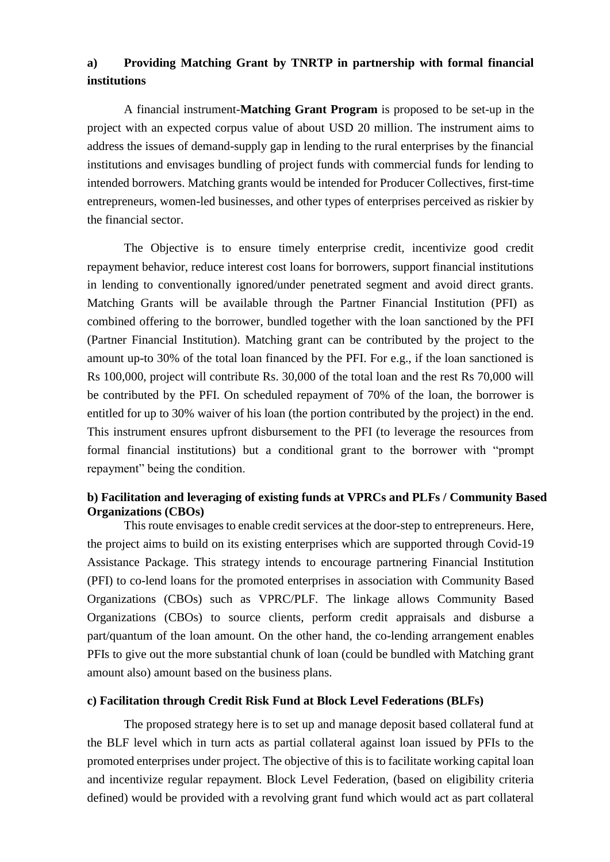# **a) Providing Matching Grant by TNRTP in partnership with formal financial institutions**

A financial instrument-**Matching Grant Program** is proposed to be set-up in the project with an expected corpus value of about USD 20 million. The instrument aims to address the issues of demand-supply gap in lending to the rural enterprises by the financial institutions and envisages bundling of project funds with commercial funds for lending to intended borrowers. Matching grants would be intended for Producer Collectives, first-time entrepreneurs, women-led businesses, and other types of enterprises perceived as riskier by the financial sector.

The Objective is to ensure timely enterprise credit, incentivize good credit repayment behavior, reduce interest cost loans for borrowers, support financial institutions in lending to conventionally ignored/under penetrated segment and avoid direct grants. Matching Grants will be available through the Partner Financial Institution (PFI) as combined offering to the borrower, bundled together with the loan sanctioned by the PFI (Partner Financial Institution). Matching grant can be contributed by the project to the amount up-to 30% of the total loan financed by the PFI. For e.g., if the loan sanctioned is Rs 100,000, project will contribute Rs. 30,000 of the total loan and the rest Rs 70,000 will be contributed by the PFI. On scheduled repayment of 70% of the loan, the borrower is entitled for up to 30% waiver of his loan (the portion contributed by the project) in the end. This instrument ensures upfront disbursement to the PFI (to leverage the resources from formal financial institutions) but a conditional grant to the borrower with "prompt repayment" being the condition.

### **b) Facilitation and leveraging of existing funds at VPRCs and PLFs / Community Based Organizations (CBOs)**

This route envisages to enable credit services at the door-step to entrepreneurs. Here, the project aims to build on its existing enterprises which are supported through Covid-19 Assistance Package. This strategy intends to encourage partnering Financial Institution (PFI) to co-lend loans for the promoted enterprises in association with Community Based Organizations (CBOs) such as VPRC/PLF. The linkage allows Community Based Organizations (CBOs) to source clients, perform credit appraisals and disburse a part/quantum of the loan amount. On the other hand, the co-lending arrangement enables PFIs to give out the more substantial chunk of loan (could be bundled with Matching grant amount also) amount based on the business plans.

#### **c) Facilitation through Credit Risk Fund at Block Level Federations (BLFs)**

The proposed strategy here is to set up and manage deposit based collateral fund at the BLF level which in turn acts as partial collateral against loan issued by PFIs to the promoted enterprises under project. The objective of this is to facilitate working capital loan and incentivize regular repayment. Block Level Federation, (based on eligibility criteria defined) would be provided with a revolving grant fund which would act as part collateral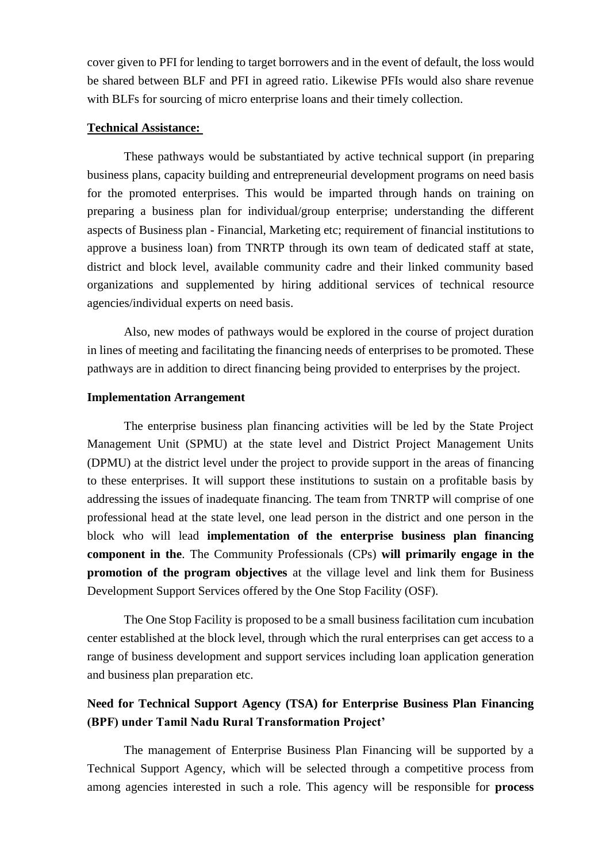cover given to PFI for lending to target borrowers and in the event of default, the loss would be shared between BLF and PFI in agreed ratio. Likewise PFIs would also share revenue with BLFs for sourcing of micro enterprise loans and their timely collection.

#### **Technical Assistance:**

These pathways would be substantiated by active technical support (in preparing business plans, capacity building and entrepreneurial development programs on need basis for the promoted enterprises. This would be imparted through hands on training on preparing a business plan for individual/group enterprise; understanding the different aspects of Business plan - Financial, Marketing etc; requirement of financial institutions to approve a business loan) from TNRTP through its own team of dedicated staff at state, district and block level, available community cadre and their linked community based organizations and supplemented by hiring additional services of technical resource agencies/individual experts on need basis.

Also, new modes of pathways would be explored in the course of project duration in lines of meeting and facilitating the financing needs of enterprises to be promoted. These pathways are in addition to direct financing being provided to enterprises by the project.

#### **Implementation Arrangement**

The enterprise business plan financing activities will be led by the State Project Management Unit (SPMU) at the state level and District Project Management Units (DPMU) at the district level under the project to provide support in the areas of financing to these enterprises. It will support these institutions to sustain on a profitable basis by addressing the issues of inadequate financing. The team from TNRTP will comprise of one professional head at the state level, one lead person in the district and one person in the block who will lead **implementation of the enterprise business plan financing component in the**. The Community Professionals (CPs) **will primarily engage in the promotion of the program objectives** at the village level and link them for Business Development Support Services offered by the One Stop Facility (OSF).

The One Stop Facility is proposed to be a small business facilitation cum incubation center established at the block level, through which the rural enterprises can get access to a range of business development and support services including loan application generation and business plan preparation etc.

# **Need for Technical Support Agency (TSA) for Enterprise Business Plan Financing (BPF) under Tamil Nadu Rural Transformation Project'**

The management of Enterprise Business Plan Financing will be supported by a Technical Support Agency, which will be selected through a competitive process from among agencies interested in such a role. This agency will be responsible for **process**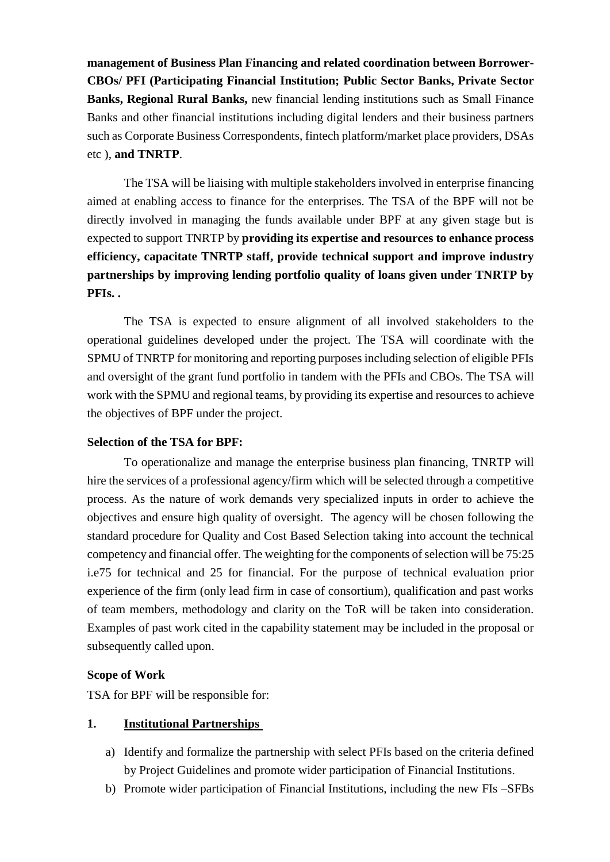**management of Business Plan Financing and related coordination between Borrower-CBOs/ PFI (Participating Financial Institution; Public Sector Banks, Private Sector Banks, Regional Rural Banks,** new financial lending institutions such as Small Finance Banks and other financial institutions including digital lenders and their business partners such as Corporate Business Correspondents, fintech platform/market place providers, DSAs etc ), **and TNRTP**.

The TSA will be liaising with multiple stakeholders involved in enterprise financing aimed at enabling access to finance for the enterprises. The TSA of the BPF will not be directly involved in managing the funds available under BPF at any given stage but is expected to support TNRTP by **providing its expertise and resources to enhance process efficiency, capacitate TNRTP staff, provide technical support and improve industry partnerships by improving lending portfolio quality of loans given under TNRTP by PFIs. .**

The TSA is expected to ensure alignment of all involved stakeholders to the operational guidelines developed under the project. The TSA will coordinate with the SPMU of TNRTP for monitoring and reporting purposes including selection of eligible PFIs and oversight of the grant fund portfolio in tandem with the PFIs and CBOs. The TSA will work with the SPMU and regional teams, by providing its expertise and resources to achieve the objectives of BPF under the project.

#### **Selection of the TSA for BPF:**

To operationalize and manage the enterprise business plan financing, TNRTP will hire the services of a professional agency/firm which will be selected through a competitive process. As the nature of work demands very specialized inputs in order to achieve the objectives and ensure high quality of oversight. The agency will be chosen following the standard procedure for Quality and Cost Based Selection taking into account the technical competency and financial offer. The weighting for the components of selection will be 75:25 i.e75 for technical and 25 for financial. For the purpose of technical evaluation prior experience of the firm (only lead firm in case of consortium), qualification and past works of team members, methodology and clarity on the ToR will be taken into consideration. Examples of past work cited in the capability statement may be included in the proposal or subsequently called upon.

#### **Scope of Work**

TSA for BPF will be responsible for:

#### **1. Institutional Partnerships**

- a) Identify and formalize the partnership with select PFIs based on the criteria defined by Project Guidelines and promote wider participation of Financial Institutions.
- b) Promote wider participation of Financial Institutions, including the new FIs –SFBs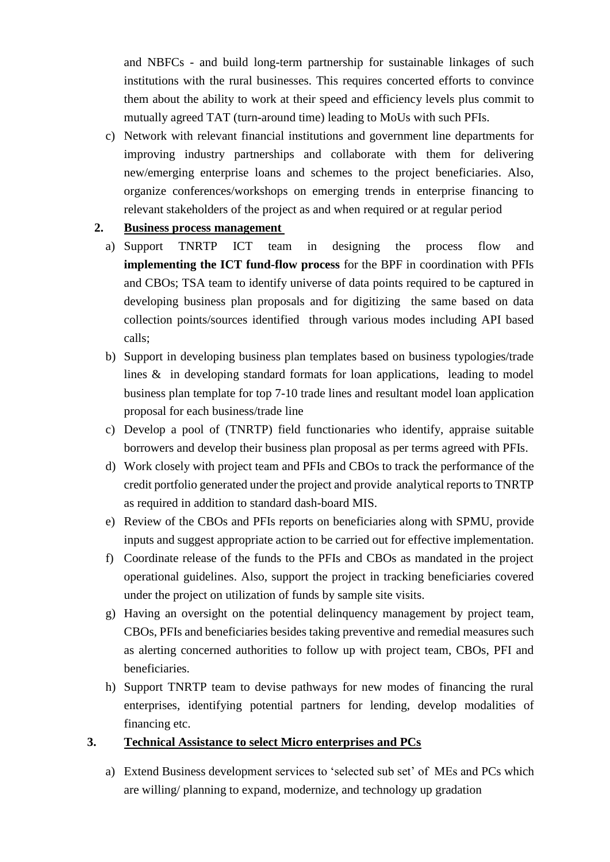and NBFCs - and build long-term partnership for sustainable linkages of such institutions with the rural businesses. This requires concerted efforts to convince them about the ability to work at their speed and efficiency levels plus commit to mutually agreed TAT (turn-around time) leading to MoUs with such PFIs.

c) Network with relevant financial institutions and government line departments for improving industry partnerships and collaborate with them for delivering new/emerging enterprise loans and schemes to the project beneficiaries. Also, organize conferences/workshops on emerging trends in enterprise financing to relevant stakeholders of the project as and when required or at regular period

### **2. Business process management**

- a) Support TNRTP ICT team in designing the process flow and **implementing the ICT fund-flow process** for the BPF in coordination with PFIs and CBOs; TSA team to identify universe of data points required to be captured in developing business plan proposals and for digitizing the same based on data collection points/sources identified through various modes including API based calls;
- b) Support in developing business plan templates based on business typologies/trade lines & in developing standard formats for loan applications, leading to model business plan template for top 7-10 trade lines and resultant model loan application proposal for each business/trade line
- c) Develop a pool of (TNRTP) field functionaries who identify, appraise suitable borrowers and develop their business plan proposal as per terms agreed with PFIs.
- d) Work closely with project team and PFIs and CBOs to track the performance of the credit portfolio generated under the project and provide analytical reports to TNRTP as required in addition to standard dash-board MIS.
- e) Review of the CBOs and PFIs reports on beneficiaries along with SPMU, provide inputs and suggest appropriate action to be carried out for effective implementation.
- f) Coordinate release of the funds to the PFIs and CBOs as mandated in the project operational guidelines. Also, support the project in tracking beneficiaries covered under the project on utilization of funds by sample site visits.
- g) Having an oversight on the potential delinquency management by project team, CBOs, PFIs and beneficiaries besides taking preventive and remedial measures such as alerting concerned authorities to follow up with project team, CBOs, PFI and beneficiaries.
- h) Support TNRTP team to devise pathways for new modes of financing the rural enterprises, identifying potential partners for lending, develop modalities of financing etc.

### **3. Technical Assistance to select Micro enterprises and PCs**

a) Extend Business development services to 'selected sub set' of MEs and PCs which are willing/ planning to expand, modernize, and technology up gradation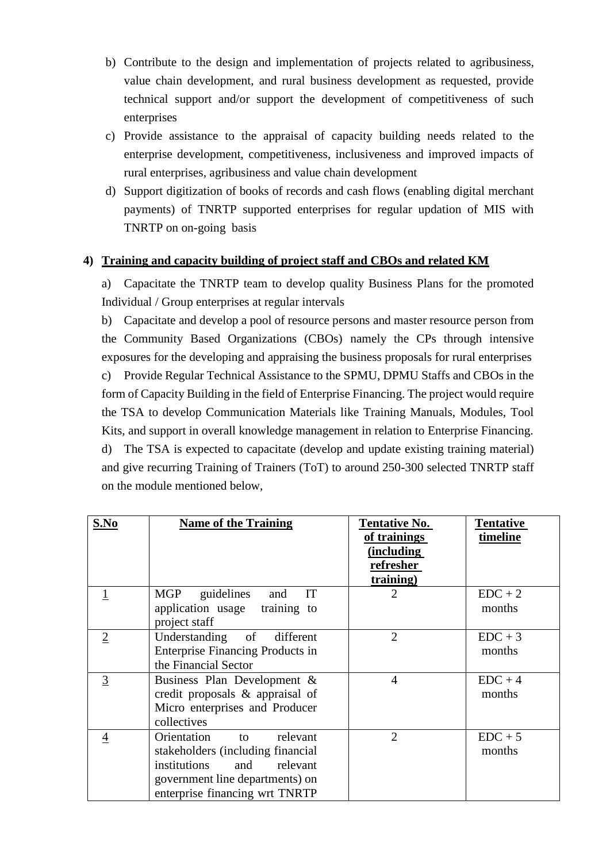- b) Contribute to the design and implementation of projects related to agribusiness, value chain development, and rural business development as requested, provide technical support and/or support the development of competitiveness of such enterprises
- c) Provide assistance to the appraisal of capacity building needs related to the enterprise development, competitiveness, inclusiveness and improved impacts of rural enterprises, agribusiness and value chain development
- d) Support digitization of books of records and cash flows (enabling digital merchant payments) of TNRTP supported enterprises for regular updation of MIS with TNRTP on on-going basis

### **4) Training and capacity building of project staff and CBOs and related KM**

a) Capacitate the TNRTP team to develop quality Business Plans for the promoted Individual / Group enterprises at regular intervals

b) Capacitate and develop a pool of resource persons and master resource person from the Community Based Organizations (CBOs) namely the CPs through intensive exposures for the developing and appraising the business proposals for rural enterprises c) Provide Regular Technical Assistance to the SPMU, DPMU Staffs and CBOs in the form of Capacity Building in the field of Enterprise Financing. The project would require the TSA to develop Communication Materials like Training Manuals, Modules, Tool Kits, and support in overall knowledge management in relation to Enterprise Financing. d) The TSA is expected to capacitate (develop and update existing training material) and give recurring Training of Trainers (ToT) to around 250-300 selected TNRTP staff on the module mentioned below,

| S.No           | <b>Name of the Training</b>                                                                                                                                                | <b>Tentative No.</b><br>of trainings<br>(including<br>refresher<br>training) | <b>Tentative</b><br>timeline |
|----------------|----------------------------------------------------------------------------------------------------------------------------------------------------------------------------|------------------------------------------------------------------------------|------------------------------|
|                | MGP<br>IT<br>guidelines<br>and<br>application usage training to<br>project staff                                                                                           | $\overline{2}$                                                               | $EDC + 2$<br>months          |
| $\overline{2}$ | Understanding<br>of<br>different<br><b>Enterprise Financing Products in</b><br>the Financial Sector                                                                        | $\overline{2}$                                                               | $EDC + 3$<br>months          |
| 3              | Business Plan Development &<br>credit proposals & appraisal of<br>Micro enterprises and Producer<br>collectives                                                            | $\overline{4}$                                                               | $EDC + 4$<br>months          |
| 4              | Orientation<br>relevant<br>to<br>stakeholders (including financial<br>institutions<br>and<br>relevant<br>government line departments) on<br>enterprise financing wrt TNRTP | $\overline{2}$                                                               | $EDC + 5$<br>months          |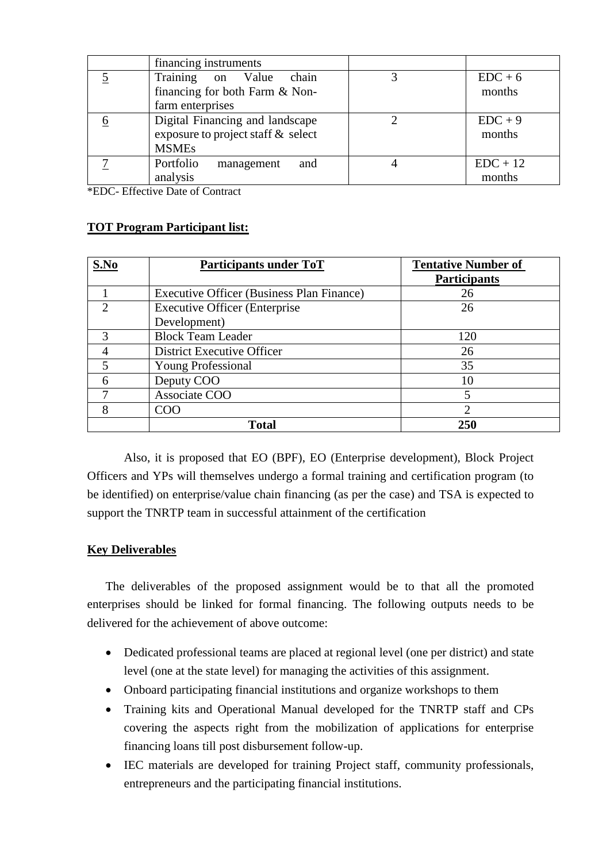|   | financing instruments              |            |
|---|------------------------------------|------------|
| 5 | Training on Value<br>chain         | $EDC + 6$  |
|   | financing for both Farm & Non-     | months     |
|   | farm enterprises                   |            |
|   | Digital Financing and landscape    | $EDC + 9$  |
|   | exposure to project staff & select | months     |
|   | <b>MSMEs</b>                       |            |
|   | Portfolio<br>and<br>management     | $EDC + 12$ |
|   | analysis                           | months     |

\*EDC- Effective Date of Contract

#### **TOT Program Participant list:**

| S.No | Participants under ToT                    | <b>Tentative Number of</b> |
|------|-------------------------------------------|----------------------------|
|      |                                           | <b>Participants</b>        |
|      | Executive Officer (Business Plan Finance) | 26                         |
|      | <b>Executive Officer (Enterprise</b>      | 26                         |
|      | Development)                              |                            |
| 3    | <b>Block Team Leader</b>                  | 120                        |
|      | District Executive Officer                | 26                         |
| 5    | <b>Young Professional</b>                 | 35                         |
| 6    | Deputy COO                                | 10                         |
|      | Associate COO                             | 5                          |
| 8    | COO                                       | 2                          |
|      | <b>Total</b>                              | 250                        |

Also, it is proposed that EO (BPF), EO (Enterprise development), Block Project Officers and YPs will themselves undergo a formal training and certification program (to be identified) on enterprise/value chain financing (as per the case) and TSA is expected to support the TNRTP team in successful attainment of the certification

#### **Key Deliverables**

The deliverables of the proposed assignment would be to that all the promoted enterprises should be linked for formal financing. The following outputs needs to be delivered for the achievement of above outcome:

- Dedicated professional teams are placed at regional level (one per district) and state level (one at the state level) for managing the activities of this assignment.
- Onboard participating financial institutions and organize workshops to them
- Training kits and Operational Manual developed for the TNRTP staff and CPs covering the aspects right from the mobilization of applications for enterprise financing loans till post disbursement follow-up.
- IEC materials are developed for training Project staff, community professionals, entrepreneurs and the participating financial institutions.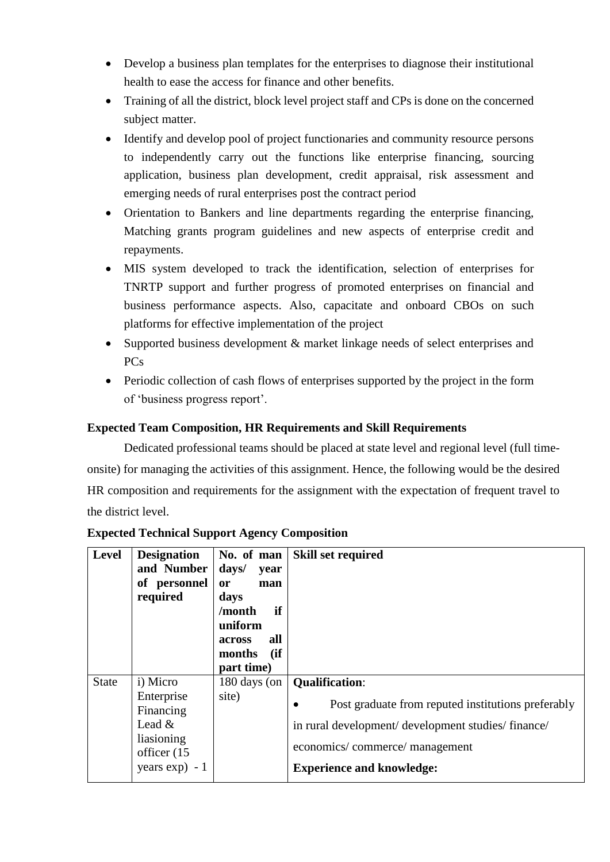- Develop a business plan templates for the enterprises to diagnose their institutional health to ease the access for finance and other benefits.
- Training of all the district, block level project staff and CPs is done on the concerned subject matter.
- Identify and develop pool of project functionaries and community resource persons to independently carry out the functions like enterprise financing, sourcing application, business plan development, credit appraisal, risk assessment and emerging needs of rural enterprises post the contract period
- Orientation to Bankers and line departments regarding the enterprise financing, Matching grants program guidelines and new aspects of enterprise credit and repayments.
- MIS system developed to track the identification, selection of enterprises for TNRTP support and further progress of promoted enterprises on financial and business performance aspects. Also, capacitate and onboard CBOs on such platforms for effective implementation of the project
- Supported business development & market linkage needs of select enterprises and PCs
- Periodic collection of cash flows of enterprises supported by the project in the form of 'business progress report'.

# **Expected Team Composition, HR Requirements and Skill Requirements**

Dedicated professional teams should be placed at state level and regional level (full timeonsite) for managing the activities of this assignment. Hence, the following would be the desired HR composition and requirements for the assignment with the expectation of frequent travel to the district level.

| Level        | <b>Designation</b><br>and Number<br>of personnel<br>required                                     | No. of man<br>days/<br>year<br><b>or</b><br>man<br>days<br>if<br>/month<br>uniform<br>all<br>across<br>(ii)<br>months<br>part time) | <b>Skill set required</b>                                                                                                                                                                                            |
|--------------|--------------------------------------------------------------------------------------------------|-------------------------------------------------------------------------------------------------------------------------------------|----------------------------------------------------------------------------------------------------------------------------------------------------------------------------------------------------------------------|
| <b>State</b> | i) Micro<br>Enterprise<br>Financing<br>Lead $&$<br>liasioning<br>officer (15<br>years $exp) - 1$ | 180 days (on<br>site)                                                                                                               | <b>Qualification:</b><br>Post graduate from reputed institutions preferably<br>$\bullet$<br>in rural development/ development studies/ finance/<br>economics/commerce/management<br><b>Experience and knowledge:</b> |

### **Expected Technical Support Agency Composition**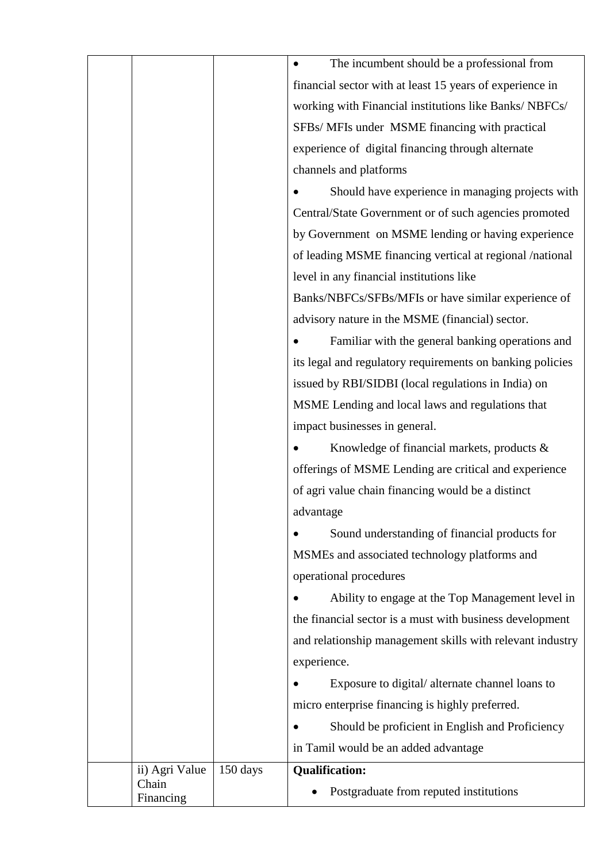|                                      | The incumbent should be a professional from               |  |  |
|--------------------------------------|-----------------------------------------------------------|--|--|
|                                      | financial sector with at least 15 years of experience in  |  |  |
|                                      | working with Financial institutions like Banks/NBFCs/     |  |  |
|                                      | SFBs/ MFIs under MSME financing with practical            |  |  |
|                                      | experience of digital financing through alternate         |  |  |
|                                      | channels and platforms                                    |  |  |
|                                      | Should have experience in managing projects with          |  |  |
|                                      | Central/State Government or of such agencies promoted     |  |  |
|                                      | by Government on MSME lending or having experience        |  |  |
|                                      | of leading MSME financing vertical at regional /national  |  |  |
|                                      | level in any financial institutions like                  |  |  |
|                                      | Banks/NBFCs/SFBs/MFIs or have similar experience of       |  |  |
|                                      | advisory nature in the MSME (financial) sector.           |  |  |
|                                      | Familiar with the general banking operations and          |  |  |
|                                      | its legal and regulatory requirements on banking policies |  |  |
|                                      | issued by RBI/SIDBI (local regulations in India) on       |  |  |
|                                      | MSME Lending and local laws and regulations that          |  |  |
|                                      | impact businesses in general.                             |  |  |
|                                      | Knowledge of financial markets, products &                |  |  |
|                                      | offerings of MSME Lending are critical and experience     |  |  |
|                                      | of agri value chain financing would be a distinct         |  |  |
|                                      | advantage                                                 |  |  |
|                                      | Sound understanding of financial products for             |  |  |
|                                      | MSMEs and associated technology platforms and             |  |  |
|                                      | operational procedures                                    |  |  |
|                                      | Ability to engage at the Top Management level in          |  |  |
|                                      | the financial sector is a must with business development  |  |  |
|                                      | and relationship management skills with relevant industry |  |  |
|                                      | experience.                                               |  |  |
|                                      | Exposure to digital/alternate channel loans to            |  |  |
|                                      | micro enterprise financing is highly preferred.           |  |  |
|                                      | Should be proficient in English and Proficiency           |  |  |
|                                      | in Tamil would be an added advantage                      |  |  |
| $150 \text{ days}$<br>ii) Agri Value | <b>Qualification:</b>                                     |  |  |
| Chain                                | Postgraduate from reputed institutions                    |  |  |
| Financing                            |                                                           |  |  |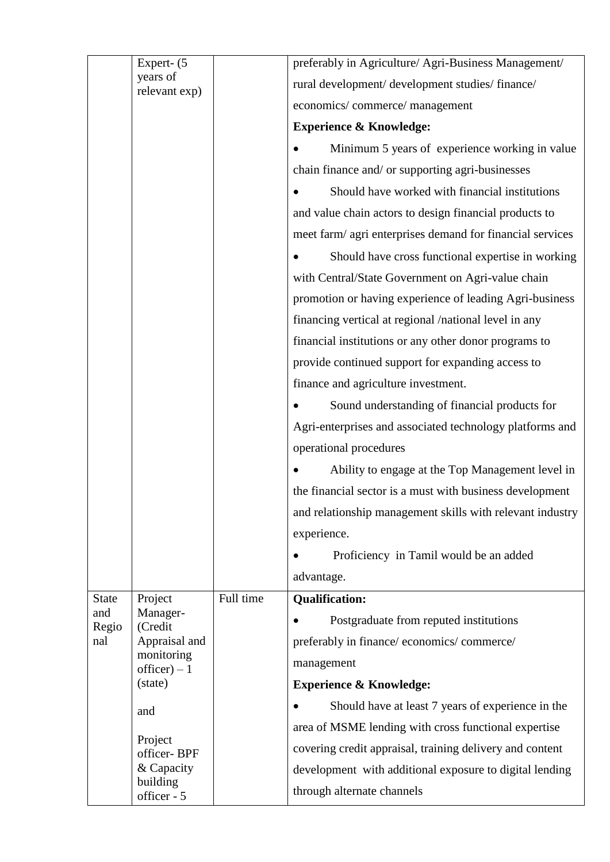|              | Expert- (5                  |           | preferably in Agriculture/ Agri-Business Management/      |
|--------------|-----------------------------|-----------|-----------------------------------------------------------|
|              | years of<br>relevant exp)   |           | rural development/ development studies/ finance/          |
|              |                             |           | economics/commerce/management                             |
|              |                             |           | <b>Experience &amp; Knowledge:</b>                        |
|              |                             |           | Minimum 5 years of experience working in value            |
|              |                             |           | chain finance and/ or supporting agri-businesses          |
|              |                             |           | Should have worked with financial institutions            |
|              |                             |           | and value chain actors to design financial products to    |
|              |                             |           | meet farm/ agri enterprises demand for financial services |
|              |                             |           | Should have cross functional expertise in working         |
|              |                             |           | with Central/State Government on Agri-value chain         |
|              |                             |           | promotion or having experience of leading Agri-business   |
|              |                             |           | financing vertical at regional /national level in any     |
|              |                             |           | financial institutions or any other donor programs to     |
|              |                             |           | provide continued support for expanding access to         |
|              |                             |           | finance and agriculture investment.                       |
|              |                             |           | Sound understanding of financial products for             |
|              |                             |           | Agri-enterprises and associated technology platforms and  |
|              |                             |           | operational procedures                                    |
|              |                             |           | Ability to engage at the Top Management level in          |
|              |                             |           | the financial sector is a must with business development  |
|              |                             |           | and relationship management skills with relevant industry |
|              |                             |           | experience.                                               |
|              |                             |           | Proficiency in Tamil would be an added                    |
|              |                             |           | advantage.                                                |
| <b>State</b> | Project                     | Full time | <b>Qualification:</b>                                     |
| and<br>Regio | Manager-<br>(Credit         |           | Postgraduate from reputed institutions                    |
| nal          | Appraisal and<br>monitoring |           | preferably in finance/economics/commerce/                 |
|              | $officer) - 1$              |           | management                                                |
|              | (state)                     |           | <b>Experience &amp; Knowledge:</b>                        |
|              | and                         |           | Should have at least 7 years of experience in the         |
|              | Project                     |           | area of MSME lending with cross functional expertise      |
|              | officer-BPF                 |           | covering credit appraisal, training delivery and content  |
|              | & Capacity<br>building      |           | development with additional exposure to digital lending   |
|              | officer - 5                 |           | through alternate channels                                |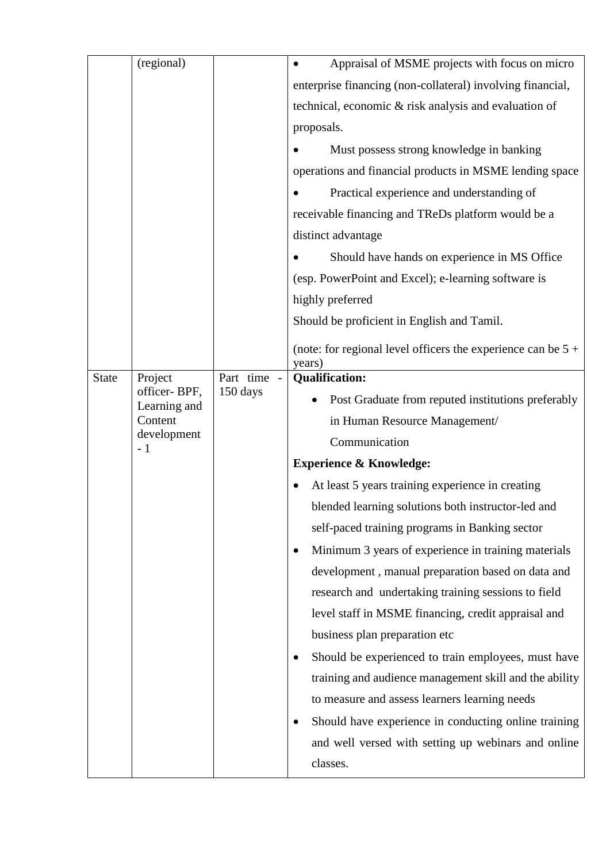|              | (regional)          |           | Appraisal of MSME projects with focus on micro                           |  |  |
|--------------|---------------------|-----------|--------------------------------------------------------------------------|--|--|
|              |                     |           | enterprise financing (non-collateral) involving financial,               |  |  |
|              |                     |           | technical, economic & risk analysis and evaluation of                    |  |  |
|              |                     |           | proposals.                                                               |  |  |
|              |                     |           | Must possess strong knowledge in banking                                 |  |  |
|              |                     |           | operations and financial products in MSME lending space                  |  |  |
|              |                     |           | Practical experience and understanding of                                |  |  |
|              |                     |           | receivable financing and TReDs platform would be a                       |  |  |
|              |                     |           | distinct advantage                                                       |  |  |
|              |                     |           | Should have hands on experience in MS Office                             |  |  |
|              |                     |           | (esp. PowerPoint and Excel); e-learning software is                      |  |  |
|              |                     |           | highly preferred                                                         |  |  |
|              |                     |           | Should be proficient in English and Tamil.                               |  |  |
|              |                     |           |                                                                          |  |  |
|              |                     |           | (note: for regional level officers the experience can be $5 +$<br>years) |  |  |
| <b>State</b> | Project             | Part time | <b>Qualification:</b>                                                    |  |  |
|              | officer-BPF,        | 150 days  |                                                                          |  |  |
|              | Learning and        |           | Post Graduate from reputed institutions preferably                       |  |  |
|              | Content             |           | in Human Resource Management/                                            |  |  |
|              | development<br>$-1$ |           | Communication                                                            |  |  |
|              |                     |           | <b>Experience &amp; Knowledge:</b>                                       |  |  |
|              |                     |           | At least 5 years training experience in creating                         |  |  |
|              |                     |           | blended learning solutions both instructor-led and                       |  |  |
|              |                     |           | self-paced training programs in Banking sector                           |  |  |
|              |                     |           | Minimum 3 years of experience in training materials                      |  |  |
|              |                     |           | development, manual preparation based on data and                        |  |  |
|              |                     |           | research and undertaking training sessions to field                      |  |  |
|              |                     |           | level staff in MSME financing, credit appraisal and                      |  |  |
|              |                     |           | business plan preparation etc                                            |  |  |
|              |                     |           | Should be experienced to train employees, must have                      |  |  |
|              |                     |           | training and audience management skill and the ability                   |  |  |
|              |                     |           | to measure and assess learners learning needs                            |  |  |
|              |                     |           |                                                                          |  |  |
|              |                     |           | Should have experience in conducting online training                     |  |  |
|              |                     |           | and well versed with setting up webinars and online                      |  |  |
|              |                     |           | classes.                                                                 |  |  |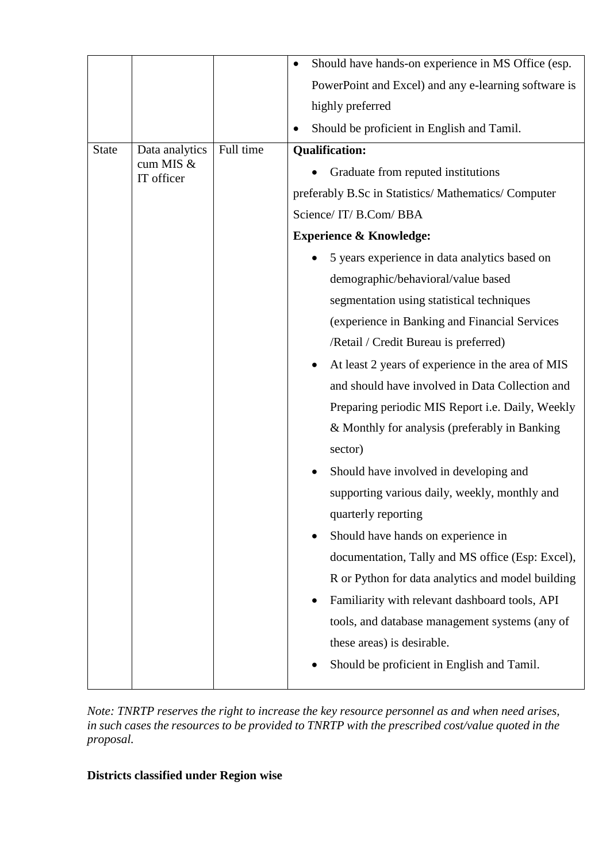|              |                         |           | Should have hands-on experience in MS Office (esp.          |
|--------------|-------------------------|-----------|-------------------------------------------------------------|
|              |                         |           | PowerPoint and Excel) and any e-learning software is        |
|              |                         |           | highly preferred                                            |
|              |                         |           | Should be proficient in English and Tamil.                  |
| <b>State</b> | Data analytics          | Full time | <b>Qualification:</b>                                       |
|              | cum MIS &<br>IT officer |           | Graduate from reputed institutions                          |
|              |                         |           | preferably B.Sc in Statistics/Mathematics/Computer          |
|              |                         |           | Science/IT/B.Com/BBA                                        |
|              |                         |           | <b>Experience &amp; Knowledge:</b>                          |
|              |                         |           | 5 years experience in data analytics based on               |
|              |                         |           | demographic/behavioral/value based                          |
|              |                         |           | segmentation using statistical techniques                   |
|              |                         |           | (experience in Banking and Financial Services               |
|              |                         |           | /Retail / Credit Bureau is preferred)                       |
|              |                         |           | At least 2 years of experience in the area of MIS           |
|              |                         |           | and should have involved in Data Collection and             |
|              |                         |           | Preparing periodic MIS Report i.e. Daily, Weekly            |
|              |                         |           | & Monthly for analysis (preferably in Banking               |
|              |                         |           | sector)                                                     |
|              |                         |           | Should have involved in developing and<br>٠                 |
|              |                         |           | supporting various daily, weekly, monthly and               |
|              |                         |           | quarterly reporting                                         |
|              |                         |           | Should have hands on experience in<br>$\bullet$             |
|              |                         |           | documentation, Tally and MS office (Esp: Excel),            |
|              |                         |           | R or Python for data analytics and model building           |
|              |                         |           | Familiarity with relevant dashboard tools, API<br>$\bullet$ |
|              |                         |           | tools, and database management systems (any of              |
|              |                         |           | these areas) is desirable.                                  |
|              |                         |           | Should be proficient in English and Tamil.                  |
|              |                         |           |                                                             |

*Note: TNRTP reserves the right to increase the key resource personnel as and when need arises, in such cases the resources to be provided to TNRTP with the prescribed cost/value quoted in the proposal.*

# **Districts classified under Region wise**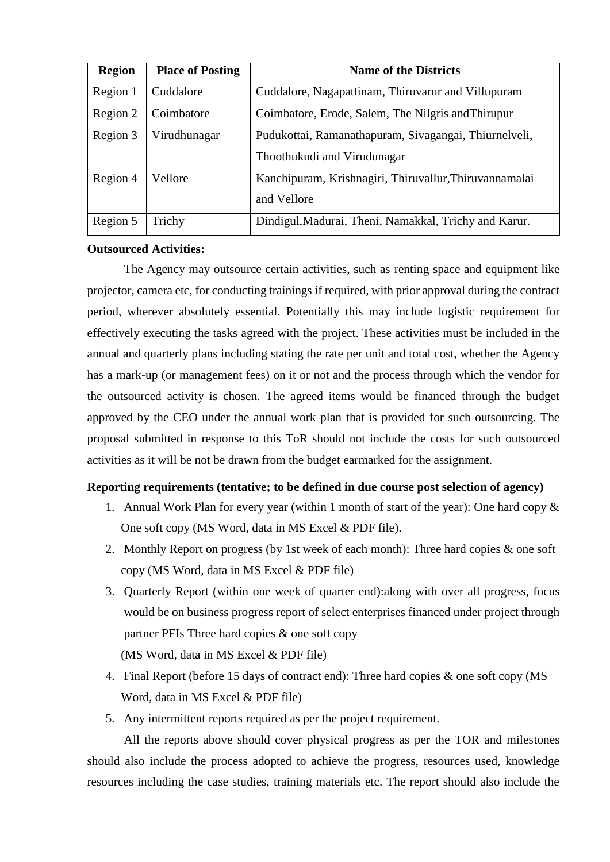| <b>Region</b> | <b>Place of Posting</b> | <b>Name of the Districts</b>                                                         |
|---------------|-------------------------|--------------------------------------------------------------------------------------|
| Region 1      | Cuddalore               | Cuddalore, Nagapattinam, Thiruvarur and Villupuram                                   |
| Region 2      | Coimbatore              | Coimbatore, Erode, Salem, The Nilgris and Thirupur                                   |
| Region 3      | Virudhunagar            | Pudukottai, Ramanathapuram, Sivagangai, Thiurnelveli,<br>Thoothukudi and Virudunagar |
| Region 4      | Vellore                 | Kanchipuram, Krishnagiri, Thiruvallur, Thiruvannamalai<br>and Vellore                |
| Region 5      | Trichy                  | Dindigul, Madurai, Theni, Namakkal, Trichy and Karur.                                |

#### **Outsourced Activities:**

The Agency may outsource certain activities, such as renting space and equipment like projector, camera etc, for conducting trainings if required, with prior approval during the contract period, wherever absolutely essential. Potentially this may include logistic requirement for effectively executing the tasks agreed with the project. These activities must be included in the annual and quarterly plans including stating the rate per unit and total cost, whether the Agency has a mark-up (or management fees) on it or not and the process through which the vendor for the outsourced activity is chosen. The agreed items would be financed through the budget approved by the CEO under the annual work plan that is provided for such outsourcing. The proposal submitted in response to this ToR should not include the costs for such outsourced activities as it will be not be drawn from the budget earmarked for the assignment.

#### **Reporting requirements (tentative; to be defined in due course post selection of agency)**

- 1. Annual Work Plan for every year (within 1 month of start of the year): One hard copy & One soft copy (MS Word, data in MS Excel & PDF file).
- 2. Monthly Report on progress (by 1st week of each month): Three hard copies & one soft copy (MS Word, data in MS Excel & PDF file)
- 3. Quarterly Report (within one week of quarter end):along with over all progress, focus would be on business progress report of select enterprises financed under project through partner PFIs Three hard copies & one soft copy (MS Word, data in MS Excel & PDF file)
- 4. Final Report (before 15 days of contract end): Three hard copies & one soft copy (MS Word, data in MS Excel & PDF file)
- 5. Any intermittent reports required as per the project requirement.

All the reports above should cover physical progress as per the TOR and milestones should also include the process adopted to achieve the progress, resources used, knowledge resources including the case studies, training materials etc. The report should also include the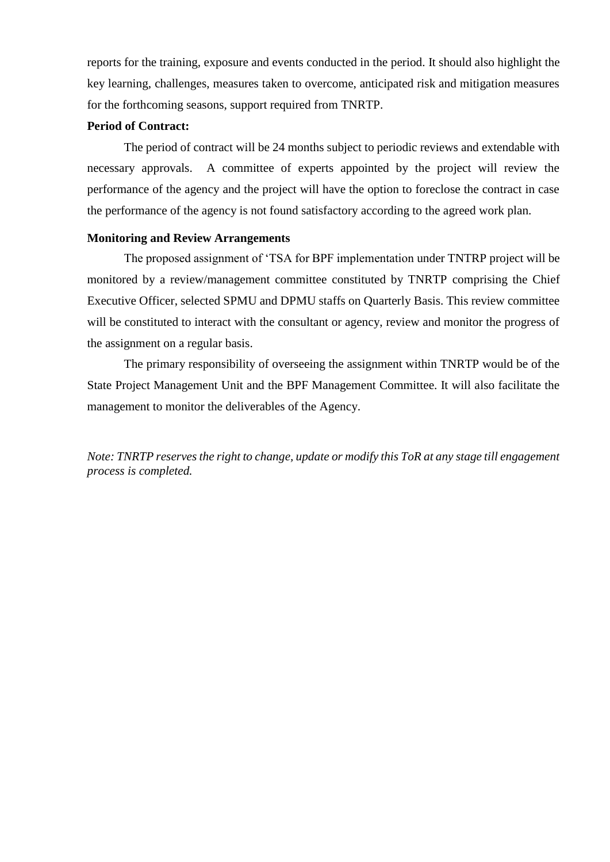reports for the training, exposure and events conducted in the period. It should also highlight the key learning, challenges, measures taken to overcome, anticipated risk and mitigation measures for the forthcoming seasons, support required from TNRTP.

#### **Period of Contract:**

The period of contract will be 24 months subject to periodic reviews and extendable with necessary approvals. A committee of experts appointed by the project will review the performance of the agency and the project will have the option to foreclose the contract in case the performance of the agency is not found satisfactory according to the agreed work plan.

#### **Monitoring and Review Arrangements**

The proposed assignment of 'TSA for BPF implementation under TNTRP project will be monitored by a review/management committee constituted by TNRTP comprising the Chief Executive Officer, selected SPMU and DPMU staffs on Quarterly Basis. This review committee will be constituted to interact with the consultant or agency, review and monitor the progress of the assignment on a regular basis.

The primary responsibility of overseeing the assignment within TNRTP would be of the State Project Management Unit and the BPF Management Committee. It will also facilitate the management to monitor the deliverables of the Agency.

*Note: TNRTP reserves the right to change, update or modify this ToR at any stage till engagement process is completed.*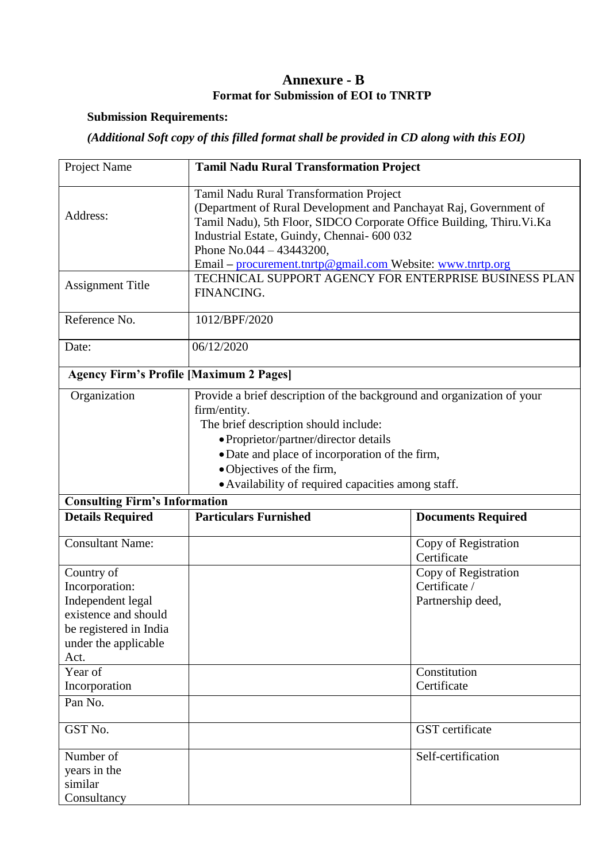### **Annexure - B Format for Submission of EOI to TNRTP**

### **Submission Requirements:**

# *(Additional Soft copy of this filled format shall be provided in CD along with this EOI)*

| Project Name                                                                                                                        | <b>Tamil Nadu Rural Transformation Project</b>                                                                                                                                                                                                                                                                                   |                                                            |  |  |
|-------------------------------------------------------------------------------------------------------------------------------------|----------------------------------------------------------------------------------------------------------------------------------------------------------------------------------------------------------------------------------------------------------------------------------------------------------------------------------|------------------------------------------------------------|--|--|
| Address:                                                                                                                            | Tamil Nadu Rural Transformation Project<br>(Department of Rural Development and Panchayat Raj, Government of<br>Tamil Nadu), 5th Floor, SIDCO Corporate Office Building, Thiru. Vi.Ka<br>Industrial Estate, Guindy, Chennai- 600 032<br>Phone No.044 $-$ 43443200,<br>Email – procurement.tnrtp@gmail.com Website: www.tnrtp.org |                                                            |  |  |
| <b>Assignment Title</b>                                                                                                             | TECHNICAL SUPPORT AGENCY FOR ENTERPRISE BUSINESS PLAN<br>FINANCING.                                                                                                                                                                                                                                                              |                                                            |  |  |
| Reference No.                                                                                                                       | 1012/BPF/2020                                                                                                                                                                                                                                                                                                                    |                                                            |  |  |
| Date:                                                                                                                               | 06/12/2020                                                                                                                                                                                                                                                                                                                       |                                                            |  |  |
| <b>Agency Firm's Profile [Maximum 2 Pages]</b>                                                                                      |                                                                                                                                                                                                                                                                                                                                  |                                                            |  |  |
| Organization                                                                                                                        | Provide a brief description of the background and organization of your<br>firm/entity.<br>The brief description should include:<br>• Proprietor/partner/director details<br>· Date and place of incorporation of the firm,<br>• Objectives of the firm,<br>• Availability of required capacities among staff.                    |                                                            |  |  |
| <b>Consulting Firm's Information</b><br><b>Details Required</b>                                                                     | <b>Particulars Furnished</b>                                                                                                                                                                                                                                                                                                     | <b>Documents Required</b>                                  |  |  |
|                                                                                                                                     |                                                                                                                                                                                                                                                                                                                                  |                                                            |  |  |
| <b>Consultant Name:</b>                                                                                                             |                                                                                                                                                                                                                                                                                                                                  | Copy of Registration<br>Certificate                        |  |  |
| Country of<br>Incorporation:<br>Independent legal<br>existence and should<br>be registered in India<br>under the applicable<br>Act. |                                                                                                                                                                                                                                                                                                                                  | Copy of Registration<br>Certificate /<br>Partnership deed, |  |  |
| Year of<br>Incorporation                                                                                                            | Constitution<br>Certificate                                                                                                                                                                                                                                                                                                      |                                                            |  |  |
| Pan No.                                                                                                                             |                                                                                                                                                                                                                                                                                                                                  |                                                            |  |  |
| GST No.                                                                                                                             | GST certificate                                                                                                                                                                                                                                                                                                                  |                                                            |  |  |
| Number of<br>years in the<br>similar<br>Consultancy                                                                                 |                                                                                                                                                                                                                                                                                                                                  | Self-certification                                         |  |  |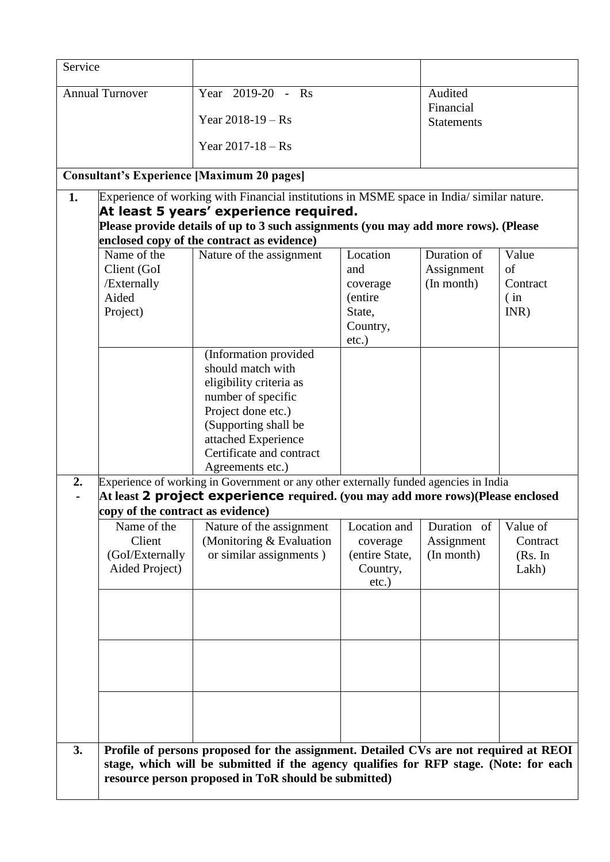| Service                                                                                                                                                                       |                                                                                                                                                                                                                                                                                                                                                                                                                                                                                                                                                                                                                                                                                                                                                                                         |                                                                                                                                                |                                                                                    |                                                                                     |
|-------------------------------------------------------------------------------------------------------------------------------------------------------------------------------|-----------------------------------------------------------------------------------------------------------------------------------------------------------------------------------------------------------------------------------------------------------------------------------------------------------------------------------------------------------------------------------------------------------------------------------------------------------------------------------------------------------------------------------------------------------------------------------------------------------------------------------------------------------------------------------------------------------------------------------------------------------------------------------------|------------------------------------------------------------------------------------------------------------------------------------------------|------------------------------------------------------------------------------------|-------------------------------------------------------------------------------------|
| <b>Annual Turnover</b>                                                                                                                                                        | Year 2019-20 - Rs<br>Year $2018 - 19 - Rs$<br>Year $2017 - 18 - Rs$                                                                                                                                                                                                                                                                                                                                                                                                                                                                                                                                                                                                                                                                                                                     |                                                                                                                                                | Audited<br>Financial<br><b>Statements</b>                                          |                                                                                     |
| <b>Consultant's Experience [Maximum 20 pages]</b>                                                                                                                             |                                                                                                                                                                                                                                                                                                                                                                                                                                                                                                                                                                                                                                                                                                                                                                                         |                                                                                                                                                |                                                                                    |                                                                                     |
| 1.<br>Name of the<br>Client (GoI<br>/Externally<br>Aided<br>Project)<br>2.<br>copy of the contract as evidence)<br>Name of the<br>Client<br>(GoI/Externally<br>Aided Project) | Experience of working with Financial institutions in MSME space in India/ similar nature.<br>At least 5 years' experience required.<br>Please provide details of up to 3 such assignments (you may add more rows). (Please<br>enclosed copy of the contract as evidence)<br>Nature of the assignment<br>(Information provided<br>should match with<br>eligibility criteria as<br>number of specific<br>Project done etc.)<br>(Supporting shall be<br>attached Experience<br>Certificate and contract<br>Agreements etc.)<br>Experience of working in Government or any other externally funded agencies in India<br>At least 2 project experience required. (you may add more rows) (Please enclosed<br>Nature of the assignment<br>(Monitoring & Evaluation<br>or similar assignments) | Location<br>and<br>coverage<br>(entire<br>State,<br>Country,<br>$etc.$ )<br>Location and<br>coverage<br>(entire State,<br>Country,<br>$etc.$ ) | Duration of<br>Assignment<br>(In month)<br>Duration of<br>Assignment<br>(In month) | Value<br>of<br>Contract<br>(in)<br>INR)<br>Value of<br>Contract<br>(Rs. In<br>Lakh) |
| 3.                                                                                                                                                                            | Profile of persons proposed for the assignment. Detailed CVs are not required at REOI<br>stage, which will be submitted if the agency qualifies for RFP stage. (Note: for each<br>resource person proposed in ToR should be submitted)                                                                                                                                                                                                                                                                                                                                                                                                                                                                                                                                                  |                                                                                                                                                |                                                                                    |                                                                                     |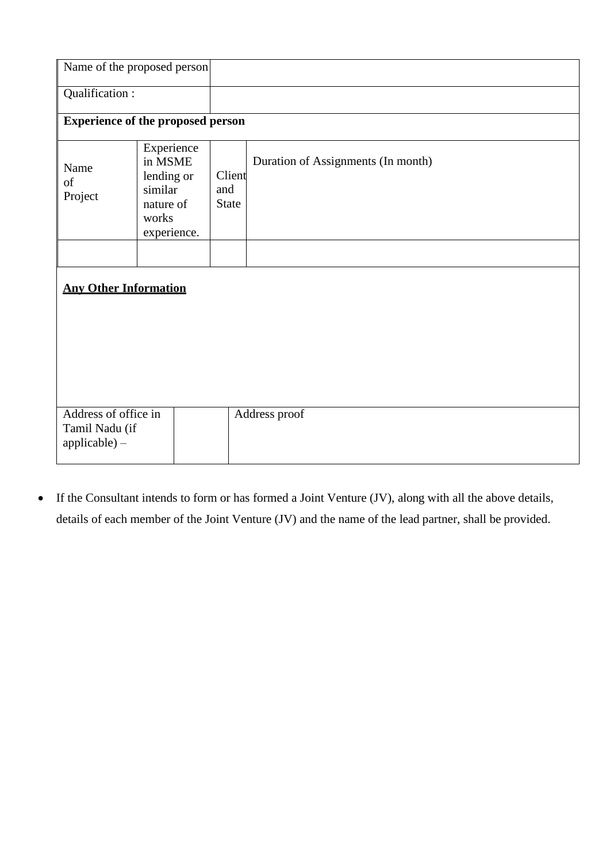| Name of the proposed person                               |                                                                                     |                               |                                    |  |
|-----------------------------------------------------------|-------------------------------------------------------------------------------------|-------------------------------|------------------------------------|--|
| Qualification:                                            |                                                                                     |                               |                                    |  |
| <b>Experience of the proposed person</b>                  |                                                                                     |                               |                                    |  |
| Name<br>of<br>Project                                     | Experience<br>in MSME<br>lending or<br>similar<br>nature of<br>works<br>experience. | Client<br>and<br><b>State</b> | Duration of Assignments (In month) |  |
|                                                           |                                                                                     |                               |                                    |  |
| <b>Any Other Information</b>                              |                                                                                     |                               |                                    |  |
| Address of office in<br>Tamil Nadu (if<br>$applicable) -$ |                                                                                     |                               | Address proof                      |  |

 If the Consultant intends to form or has formed a Joint Venture (JV), along with all the above details, details of each member of the Joint Venture (JV) and the name of the lead partner, shall be provided.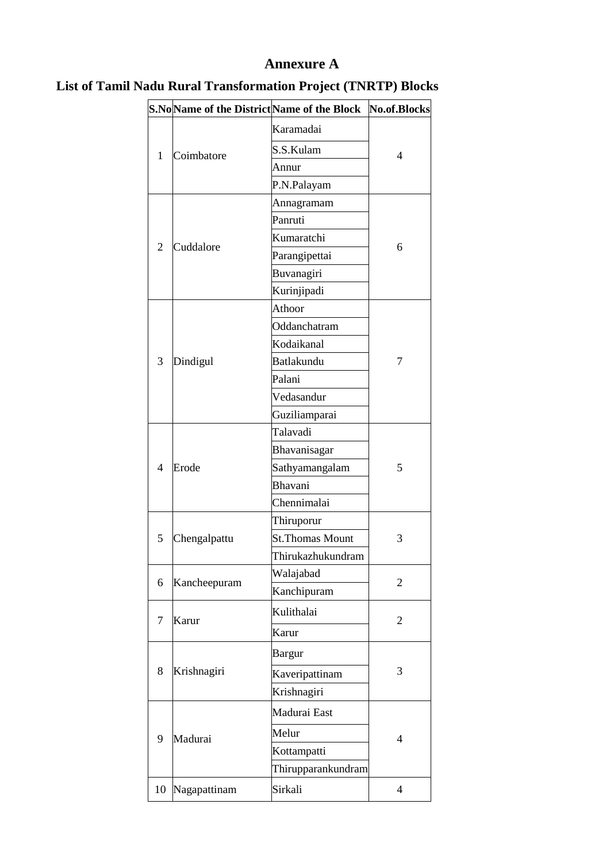# **Annexure A**

|                          |              | S.No Name of the District Name of the Block | No.of.Blocks   |
|--------------------------|--------------|---------------------------------------------|----------------|
| 1                        | Coimbatore   | Karamadai                                   | 4              |
|                          |              | S.S.Kulam                                   |                |
|                          |              | Annur                                       |                |
|                          |              | P.N.Palayam                                 |                |
|                          |              | Annagramam                                  | 6              |
|                          |              | Panruti                                     |                |
|                          |              | Kumaratchi                                  |                |
| $\overline{2}$           | Cuddalore    | Parangipettai                               |                |
|                          |              | Buvanagiri                                  |                |
|                          |              | Kurinjipadi                                 |                |
|                          |              | Athoor                                      |                |
|                          |              | Oddanchatram                                |                |
|                          |              | Kodaikanal                                  |                |
| 3                        | Dindigul     | Batlakundu                                  | 7              |
|                          |              | Palani                                      |                |
|                          |              | Vedasandur                                  |                |
|                          |              | Guziliamparai                               |                |
|                          |              | Talavadi                                    |                |
|                          |              | Bhavanisagar                                | 5              |
| $\overline{\mathcal{A}}$ | Erode        | Sathyamangalam                              |                |
|                          |              | Bhavani                                     |                |
|                          |              | Chennimalai                                 |                |
|                          | Chengalpattu | Thiruporur                                  | 3              |
| 5                        |              | <b>St. Thomas Mount</b>                     |                |
|                          |              | Thirukazhukundram                           |                |
| 6                        | Kancheepuram | Walajabad                                   | $\overline{2}$ |
|                          |              | Kanchipuram                                 |                |
|                          |              | Kulithalai                                  | $\overline{2}$ |
| 7                        | Karur        | Karur                                       |                |
| 8                        |              | Bargur                                      | 3              |
|                          | Krishnagiri  | Kaveripattinam                              |                |
|                          |              | Krishnagiri                                 |                |
| 9                        | Madurai      | Madurai East                                | $\overline{4}$ |
|                          |              | Melur                                       |                |
|                          |              | Kottampatti                                 |                |
|                          |              | Thirupparankundram                          |                |
| 10                       | Nagapattinam | Sirkali                                     | $\overline{4}$ |
|                          |              |                                             |                |

# **List of Tamil Nadu Rural Transformation Project (TNRTP) Blocks**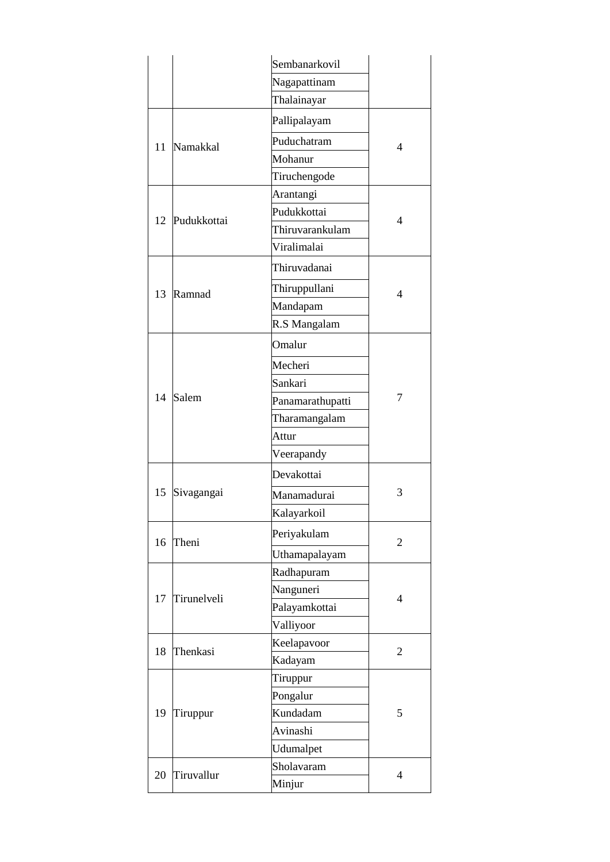|    |             | Sembanarkovil    |                |
|----|-------------|------------------|----------------|
|    |             | Nagapattinam     |                |
|    |             | Thalainayar      |                |
| 11 |             | Pallipalayam     | 4              |
|    | Namakkal    | Puduchatram      |                |
|    |             | Mohanur          |                |
|    |             | Tiruchengode     |                |
|    |             | Arantangi        |                |
|    | Pudukkottai | Pudukkottai      | 4              |
| 12 |             | Thiruvarankulam  |                |
|    |             | Viralimalai      |                |
|    |             | Thiruvadanai     |                |
| 13 | Ramnad      | Thiruppullani    | 4              |
|    |             | Mandapam         |                |
|    |             | R.S Mangalam     |                |
|    |             | Omalur           |                |
|    |             | Mecheri          |                |
|    |             | Sankari          | 7              |
| 14 | Salem       | Panamarathupatti |                |
|    |             | Tharamangalam    |                |
|    |             | Attur            |                |
|    |             | Veerapandy       |                |
|    |             | Devakottai       |                |
| 15 | Sivagangai  | Manamadurai      | 3              |
|    |             | Kalayarkoil      |                |
| 16 | Theni       | Periyakulam      | $\overline{2}$ |
|    |             | Uthamapalayam    |                |
|    |             | Radhapuram       |                |
| 17 | Tirunelveli | Nanguneri        | 4              |
|    |             | Palayamkottai    |                |
|    |             | Valliyoor        |                |
| 18 | Thenkasi    | Keelapavoor      | $\overline{2}$ |
|    |             | Kadayam          |                |
|    |             | Tiruppur         |                |
| 19 | Tiruppur    | Pongalur         | 5              |
|    |             | Kundadam         |                |
|    |             | Avinashi         |                |
|    |             | Udumalpet        |                |
| 20 | Tiruvallur  | Sholavaram       | $\overline{4}$ |
|    |             | Minjur           |                |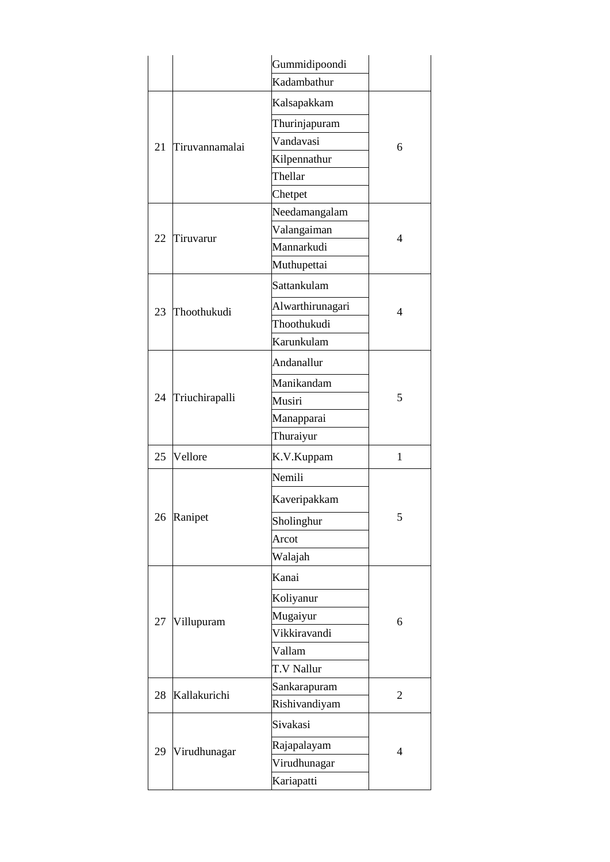|    |                | Gummidipoondi    |                |
|----|----------------|------------------|----------------|
|    |                | Kadambathur      |                |
| 21 |                | Kalsapakkam      |                |
|    | Tiruvannamalai | Thurinjapuram    | 6              |
|    |                | Vandavasi        |                |
|    |                | Kilpennathur     |                |
|    |                | Thellar          |                |
|    |                | Chetpet          |                |
|    |                | Needamangalam    | $\overline{4}$ |
| 22 | Tiruvarur      | Valangaiman      |                |
|    |                | Mannarkudi       |                |
|    |                | Muthupettai      |                |
|    |                | Sattankulam      |                |
| 23 | Thoothukudi    | Alwarthirunagari | 4              |
|    |                | Thoothukudi      |                |
|    |                | Karunkulam       |                |
|    |                | Andanallur       |                |
|    |                | Manikandam       | 5              |
| 24 | Triuchirapalli | Musiri           |                |
|    |                | Manapparai       |                |
|    |                | Thuraiyur        |                |
| 25 | Vellore        | K.V.Kuppam       | 1              |
|    |                | Nemili           | 5              |
|    | Ranipet        | Kaveripakkam     |                |
| 26 |                | Sholinghur       |                |
|    |                | Arcot            |                |
|    |                | Walajah          |                |
|    |                | Kanai            |                |
| 27 | Villupuram     | Koliyanur        | 6              |
|    |                | Mugaiyur         |                |
|    |                | Vikkiravandi     |                |
|    |                | Vallam           |                |
|    |                | T.V Nallur       |                |
| 28 | Kallakurichi   | Sankarapuram     | $\overline{2}$ |
|    |                | Rishivandiyam    |                |
|    |                | Sivakasi         | 4              |
| 29 | Virudhunagar   | Rajapalayam      |                |
|    |                | Virudhunagar     |                |
|    |                | Kariapatti       |                |